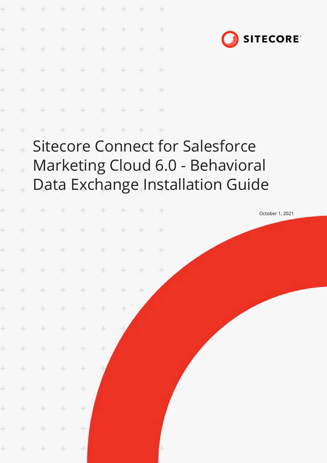|                |                      |                 | ÷             | $\rightarrow$ | ÷             |        | ÷      |        |                                                                                                                |  |                 |  |  |
|----------------|----------------------|-----------------|---------------|---------------|---------------|--------|--------|--------|----------------------------------------------------------------------------------------------------------------|--|-----------------|--|--|
| ÷              | ÷                    | $\frac{1}{2}$   | $+$           | $+$           | $+$           | ÷      | $+$    | ÷      |                                                                                                                |  | <b>SITECORE</b> |  |  |
| ÷              | ÷                    | ÷               | ÷             | ÷             | $+$           | ÷      | ÷      | ÷      |                                                                                                                |  |                 |  |  |
| ÷              | $\div$               | $\div$          | $+$           | ÷             | ÷             | ÷      | ÷      | ÷      |                                                                                                                |  |                 |  |  |
| ÷              | $\div$               | ÷               | $\div$        | $\div$        | $\frac{1}{2}$ | ÷      | ÷      | $\div$ |                                                                                                                |  |                 |  |  |
| ÷              | ÷                    | ÷               | $\frac{1}{2}$ | $\div$        | $+$           | ÷      | ÷      | ÷      |                                                                                                                |  |                 |  |  |
| ÷              | ÷                    |                 | ÷             | ÷             | $+$           | ÷      | ÷      | $+$    |                                                                                                                |  |                 |  |  |
| $\overline{a}$ | $\ddot{\phantom{0}}$ |                 |               |               |               |        |        |        | <b>Sitecore Connect for Salesforce</b><br>Marketing Cloud 6.0 - Behavioral<br>Data Exchange Installation Guide |  |                 |  |  |
| ÷              | ÷                    | ÷               |               | ÷             | ÷             | ÷      | ÷      | ÷      |                                                                                                                |  | October 1, 2021 |  |  |
| ÷              | ÷                    | ÷               | ÷             | ÷             | ÷             | ÷      | ÷      | ÷      |                                                                                                                |  |                 |  |  |
|                |                      | * * * * * * * * |               |               |               |        |        |        |                                                                                                                |  |                 |  |  |
| $\pm$          | $\rightarrow$        | $\pm$           | ÷.            | $\pm$         | $\pm$         | $\pm$  | ÷      | $+$    |                                                                                                                |  |                 |  |  |
| ÷              | $\pm$                | ÷.              | $\pm$         | $\div$        | ÷             | ÷      | $\div$ |        |                                                                                                                |  |                 |  |  |
| ÷              | ÷                    | $\pm$           | $\div$        | $\div$        | $\div$        | $\div$ |        |        |                                                                                                                |  |                 |  |  |
| ÷              | $\pm$                | $\pm$           | $\div$        | $\div$        | $\div$        |        |        |        |                                                                                                                |  |                 |  |  |
| ÷              | $\pm$                | ÷               | $\pm$         | $\div$        | ÷             |        |        |        |                                                                                                                |  |                 |  |  |
| $\pm$          | $\div$               | $\pm$           | ÷             | $\div$        |               |        |        |        |                                                                                                                |  |                 |  |  |
| $\pm$          | $\div$               | $\pm$           | ÷             | $\div$        |               |        |        |        |                                                                                                                |  |                 |  |  |
| ÷              | $\div$               | ÷.              | $\pm$         | ÷             |               |        |        |        |                                                                                                                |  |                 |  |  |
| ÷              | $\pm$                | ÷               | ÷             | $\div$        |               |        |        |        |                                                                                                                |  |                 |  |  |
| $\pm$          | $+$                  | $\div$          | $\pm$         | 土             |               |        |        |        |                                                                                                                |  |                 |  |  |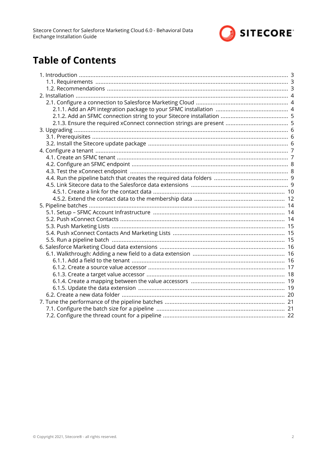

# **Table of Contents**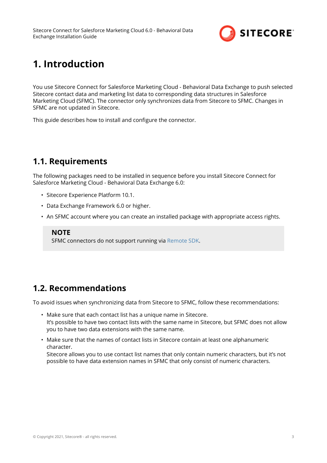

# <span id="page-2-0"></span>**1. Introduction**

You use Sitecore Connect for Salesforce Marketing Cloud - Behavioral Data Exchange to push selected Sitecore contact data and marketing list data to corresponding data structures in Salesforce Marketing Cloud (SFMC). The connector only synchronizes data from Sitecore to SFMC. Changes in SFMC are not updated in Sitecore.

This guide describes how to install and configure the connector.

## **1.1. Requirements**

The following packages need to be installed in sequence before you install Sitecore Connect for Salesforce Marketing Cloud - Behavioral Data Exchange 6.0:

- Sitecore Experience Platform 10.1.
- Data Exchange Framework 6.0 or higher.
- An SFMC account where you can create an installed package with appropriate access rights.

### **NOTE**

SFMC connectors do not support running via [Remote SDK](https://doc.sitecore.com/developers/def/v1.4/remote-sdk/index.html).

## **1.2. Recommendations**

To avoid issues when synchronizing data from Sitecore to SFMC, follow these recommendations:

- Make sure that each contact list has a unique name in Sitecore. It's possible to have two contact lists with the same name in Sitecore, but SFMC does not allow you to have two data extensions with the same name.
- Make sure that the names of contact lists in Sitecore contain at least one alphanumeric character.

Sitecore allows you to use contact list names that only contain numeric characters, but it's not possible to have data extension names in SFMC that only consist of numeric characters.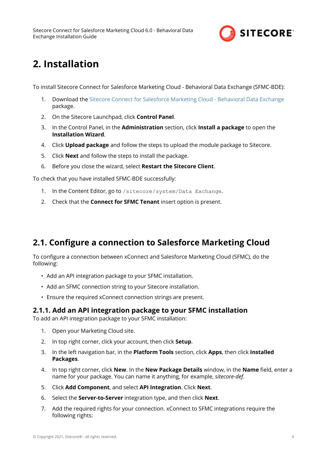

# <span id="page-3-0"></span>**2. Installation**

To install Sitecore Connect for Salesforce Marketing Cloud - Behavioral Data Exchange (SFMC-BDE):

- 1. Download the [Sitecore Connect for Salesforce Marketing Cloud Behavioral Data Exchange](https://dev.sitecore.net/) package.
- 2. On the Sitecore Launchpad, click **Control Panel**.
- 3. In the Control Panel, in the **Administration** section, click **Install a package** to open the **Installation Wizard**.
- 4. Click **Upload package** and follow the steps to upload the module package to Sitecore.
- 5. Click **Next** and follow the steps to install the package.
- 6. Before you close the wizard, select **Restart the Sitecore Client**.

To check that you have installed SFMC-BDE successfully:

- 1. In the Content Editor, go to /sitecore/system/Data Exchange.
- 2. Check that the **Connect for SFMC Tenant** insert option is present.

### **2.1. Configure a connection to Salesforce Marketing Cloud**

To configure a connection between xConnect and Salesforce Marketing Cloud (SFMC), do the following:

- Add an API integration package to your SFMC installation.
- Add an SFMC connection string to your Sitecore installation.
- Ensure the required xConnect connection strings are present.

### **2.1.1. Add an API integration package to your SFMC installation**

To add an API integration package to your SFMC installation:

- 1. Open your Marketing Cloud site.
- 2. In top right corner, click your account, then click **Setup**.
- 3. In the left navigation bar, in the **Platform Tools** section, click **Apps**, then click **Installed Packages**.
- 4. In top right corner, click **New**. In the **New Package Details** window, in the **Name** field, enter a name for your package. You can name it anything, for example, *sitecore-def*.
- 5. Click **Add Component**, and select **API Integration**. Click **Next**.
- 6. Select the **Server-to-Server** integration type, and then click **Next**.
- 7. Add the required rights for your connection. xConnect to SFMC integrations require the following rights: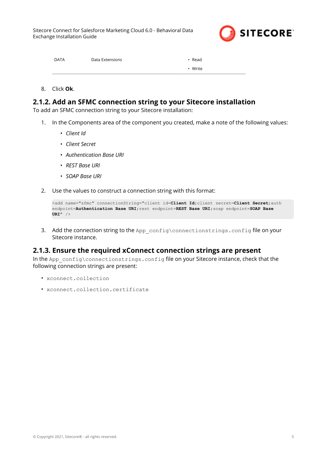

<span id="page-4-0"></span>

| <b>DATA</b> | Data Extensions | $\cdot$ Read |
|-------------|-----------------|--------------|
|             |                 | • Write      |

8. Click **Ok**.

### **2.1.2. Add an SFMC connection string to your Sitecore installation**

To add an SFMC connection string to your Sitecore installation:

- 1. In the Components area of the component you created, make a note of the following values:
	- *Client Id*
	- *Client Secret*
	- *Authentication Base URI*
	- *REST Base URI*
	- *SOAP Base URI*
- 2. Use the values to construct a connection string with this format:

```
<add name="sfmc" connectionString="client id=Client Id;client secret=Client Secret;auth 
endpoint=Authentication Base URI;rest endpoint=REST Base URI;soap endpoint=SOAP Base 
URI" />
```
3. Add the connection string to the App\_config\connectionstrings.config file on your Sitecore instance.

### **2.1.3. Ensure the required xConnect connection strings are present**

In the App\_config\connectionstrings.config file on your Sitecore instance, check that the following connection strings are present:

- xconnect.collection
- xconnect.collection.certificate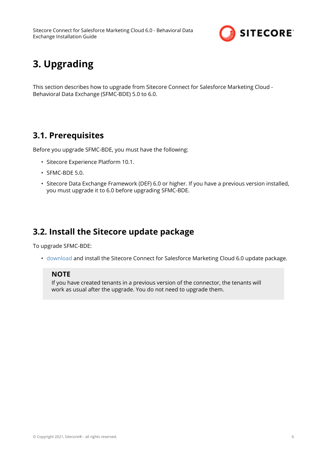

# <span id="page-5-0"></span>**3. Upgrading**

This section describes how to upgrade from Sitecore Connect for Salesforce Marketing Cloud - Behavioral Data Exchange (SFMC-BDE) 5.0 to 6.0.

## **3.1. Prerequisites**

Before you upgrade SFMC-BDE, you must have the following:

- Sitecore Experience Platform 10.1.
- SFMC-BDE 5.0.
- Sitecore Data Exchange Framework (DEF) 6.0 or higher. If you have a previous version installed, you must upgrade it to 6.0 before upgrading SFMC-BDE.

## **3.2. Install the Sitecore update package**

To upgrade SFMC-BDE:

• [download](https://dev.sitecore.net/downloads) and install the Sitecore Connect for Salesforce Marketing Cloud 6.0 update package.

### **NOTE**

If you have created tenants in a previous version of the connector, the tenants will work as usual after the upgrade. You do not need to upgrade them.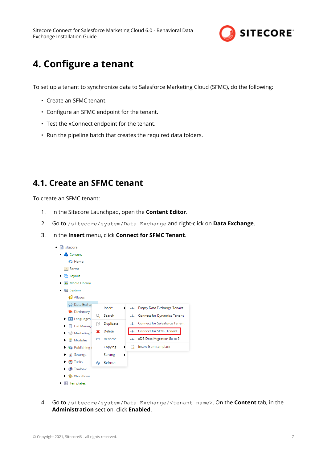

# <span id="page-6-0"></span>**4. Configure a tenant**

To set up a tenant to synchronize data to Salesforce Marketing Cloud (SFMC), do the following:

- Create an SFMC tenant.
- Configure an SFMC endpoint for the tenant.
- Test the xConnect endpoint for the tenant.
- Run the pipeline batch that creates the required data folders.

## **4.1. Create an SFMC tenant**

To create an SFMC tenant:

- 1. In the Sitecore Launchpad, open the **Content Editor**.
- 2. Go to /sitecore/system/Data Exchange and right-click on **Data Exchange**.
- 3. In the **Insert** menu, click **Connect for SFMC Tenant**.



4. Go to /sitecore/system/Data Exchange/<tenant name>. On the **Content** tab, in the **Administration** section, click **Enabled**.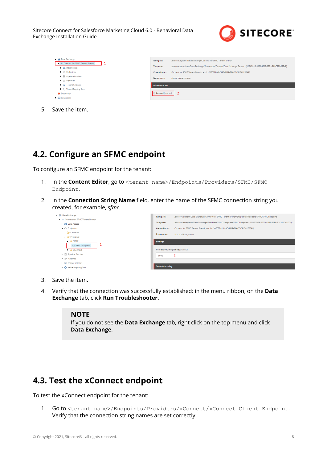

<span id="page-7-0"></span>

| 4 @ Data Exchange<br>4  Connect for SFMC Tenant Branch<br>▶ X Data Access<br>$\blacktriangleright$ $\bigcirc$ Endpoints<br>▶ 翌 Pipeline Batches<br>$\blacktriangleright$ $\varnothing$ Pipelines | Item path:<br>Template:<br><b>Created from:</b><br>Item owner: | /sitecore/system/Data Exchange/Connect for SFMC Tenant Branch<br>/sitecore/templates/Data Exchange/Framework/Tenants/Data Exchange Tenant - (327A381B-59F8-4E88-B331-BEBC7BD87E4E)<br>Connect for SFMC Tenant Branch, en, 1 - {30FCEBA1-F89C-4419-81AC-7C91CA2E55A9}<br>sitecare\Anonymous |
|--------------------------------------------------------------------------------------------------------------------------------------------------------------------------------------------------|----------------------------------------------------------------|--------------------------------------------------------------------------------------------------------------------------------------------------------------------------------------------------------------------------------------------------------------------------------------------|
| $\blacktriangleright$ $\boxplus$ Tenant Settings                                                                                                                                                 | <b>Administration</b>                                          |                                                                                                                                                                                                                                                                                            |
| $\triangleright$ $\bigcirc$ Value Mapping Sets<br><b>Dictionary</b><br><b>6</b> Languages                                                                                                        | Enabled [shared]                                               |                                                                                                                                                                                                                                                                                            |

5. Save the item.

## **4.2. Configure an SFMC endpoint**

To configure an SFMC endpoint for the tenant:

- 1. In the **Content Editor**, go to <tenant name>/Endpoints/Providers/SFMC/SFMC Endpoint.
- 2. In the **Connection String Name** field, enter the name of the SFMC connection string you created, for example, *sfmc*.

| 4 & Data Exchange                                    | Item path:                       | /sitecore/system/Data Exchange/Connect for SFMC Tenant Branch/Endpoints/Providers/SFMC/SFMC Endpoint              |
|------------------------------------------------------|----------------------------------|-------------------------------------------------------------------------------------------------------------------|
| 4 - Connect for SFMC Tenant Branch                   | Template:                        | /sitecore/templates/Data Exchange/Providers/SFMC/Endpoints/SFMC Endpoint - {85A92DB6-472D-4D5F-8AEB-53E314C48DD9} |
| Data Access                                          |                                  |                                                                                                                   |
| $\blacktriangle$ $\bigcirc$ Endpoints                | <b>Created from:</b>             | Connect for SFMC Tenant Branch, en. 1 - (30FCEBA1-F89C-4419-81AC-7C91CA2E55A9)                                    |
| Common                                               | Item owner:                      | sitecore\Anonymous                                                                                                |
| <b>A Providers</b>                                   |                                  |                                                                                                                   |
| $\blacksquare$ SFMC                                  | <b>Settings</b>                  |                                                                                                                   |
| △ SFMC Endpoint                                      |                                  |                                                                                                                   |
| $\blacktriangleright$ $\blacktriangleright$ xConnect | Connection String Name [shared]: |                                                                                                                   |
| ▶ $\overline{27}$ Pipeline Batches                   | sfmc                             |                                                                                                                   |
| $\blacktriangleright$ $\varnothing$ Pipelines        |                                  |                                                                                                                   |
| $\blacktriangleright$ $\equiv$ Tenant Settings       |                                  |                                                                                                                   |
| $\blacktriangleright$ $\bigcirc$ Value Mapping Sets  | <b>Troubleshooting</b>           |                                                                                                                   |
|                                                      |                                  |                                                                                                                   |

- 3. Save the item.
- 4. Verify that the connection was successfully established: in the menu ribbon, on the **Data Exchange** tab, click **Run Troubleshooter**.

#### **NOTE**

If you do not see the **Data Exchange** tab, right click on the top menu and click **Data Exchange**.

### **4.3. Test the xConnect endpoint**

To test the xConnect endpoint for the tenant:

1. Go to <tenant name>/Endpoints/Providers/xConnect/xConnect Client Endpoint. Verify that the connection string names are set correctly: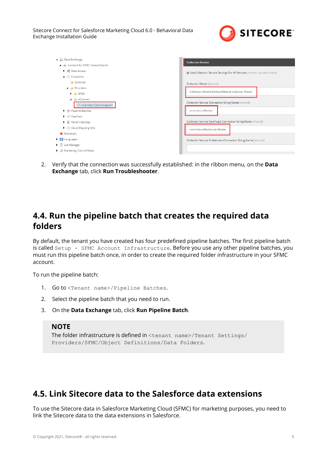

<span id="page-8-0"></span>

| ▲ A Data Exchange                                   | <b>Collection Service</b>                                                 |
|-----------------------------------------------------|---------------------------------------------------------------------------|
| 4 - Connect for SFMC Tenant Branch                  |                                                                           |
| ▶ X Data Access                                     | Use Collection Service Settings For All Services [shared, standard value] |
| $\blacktriangle$ $\triangle$ Endpoints              |                                                                           |
| <b>Common</b>                                       | Collection Model [shared]:                                                |
| <b>A Providers</b>                                  |                                                                           |
| $\blacktriangleright$ $\blacktriangleright$ SFMC    | Collection Models/Default/Default Collection Model                        |
| 4 xConnect                                          |                                                                           |
| △ xConnect Client Endpoint                          | Collection Service Connection String Name [shared]:                       |
| ▶ i Pipeline Batches                                | xconnect.collection                                                       |
| $\blacktriangleright$ $\oplus$ Pipelines            |                                                                           |
| $\blacktriangleright$ $\equiv$ Tenant Settings      | Collection Service Certificate Connection String Name [shared]:           |
| $\blacktriangleright$ $\bigcirc$ Value Mapping Sets | xconnect.collection.certificate                                           |
| <b>Dictionary</b>                                   |                                                                           |
| $\triangleright$ <b>S</b> Languages                 | Collection Service Credentials Connection String Name [shared]:           |
| $\blacktriangleright$   List Manager                |                                                                           |
| Marketing Control Panel                             |                                                                           |

2. Verify that the connection was successfully established: in the ribbon menu, on the **Data Exchange** tab, click **Run Troubleshooter**.

### **4.4. Run the pipeline batch that creates the required data folders**

By default, the tenant you have created has four predefined pipeline batches. The first pipeline batch is called Setup - SFMC Account Infrastructure. Before you use any other pipeline batches, you must run this pipeline batch once, in order to create the required folder infrastructure in your SFMC account.

To run the pipeline batch:

- 1. Go to <Tenant name>/Pipeline Batches.
- 2. Select the pipeline batch that you need to run.
- 3. On the **Data Exchange** tab, click **Run Pipeline Batch**.

#### **NOTE**

The folder infrastructure is defined in <tenant name>/Tenant Settings/ Providers/SFMC/Object Definitions/Data Folders.

## **4.5. Link Sitecore data to the Salesforce data extensions**

To use the Sitecore data in Salesforce Marketing Cloud (SFMC) for marketing purposes, you need to link the Sitecore data to the data extensions in Salesforce.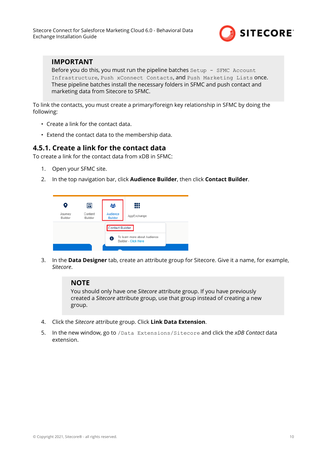

### <span id="page-9-0"></span>**IMPORTANT**

Before you do this, you must run the pipeline batches  $Setup - SFMC$  Account Infrastructure, Push xConnect Contacts, and Push Marketing Lists once. These pipeline batches install the necessary folders in SFMC and push contact and marketing data from Sitecore to SFMC.

To link the contacts, you must create a primary/foreign key relationship in SFMC by doing the following:

- Create a link for the contact data.
- Extend the contact data to the membership data.

### **4.5.1. Create a link for the contact data**

To create a link for the contact data from xDB in SFMC:

- 1. Open your SFMC site.
- 2. In the top navigation bar, click **Audience Builder**, then click **Contact Builder**.



3. In the **Data Designer** tab, create an attribute group for Sitecore. Give it a name, for example, *Sitecore*.

### **NOTE**

You should only have one *Sitecore* attribute group. If you have previously created a *Sitecore* attribute group, use that group instead of creating a new group.

- 4. Click the *Sitecore* attribute group. Click **Link Data Extension**.
- 5. In the new window, go to /Data Extensions/Sitecore and click the *xDB Contact* data extension.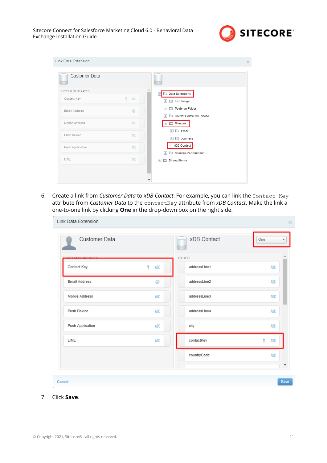

| Link Data Extension             | $\times$                                                   |
|---------------------------------|------------------------------------------------------------|
| Customer Data                   |                                                            |
| SYSTEM GENERATED                | ∸<br>Data Extensions<br>$\bullet$                          |
| ę.<br>Contact Key<br>ABC        | Live Image<br>$\,>$                                        |
| Email Address<br>$\circledcirc$ | Postman Folder<br>$\rightarrow$                            |
| Mobile Address<br><b>ABC</b>    | Do Not Delete Me Please<br>$\rightarrow$<br>Sitecore       |
| Push Device<br>ABC              | $\triangleright$ $\square$ Email<br>$\geq$ $\Box$ Journeys |
| Push Application<br>ABC         | » xDB Contact<br>Sitecore-Performance<br>$\rightarrow$     |
| LINE<br>ABC                     | Shared Items<br>$\rightarrow$                              |
|                                 |                                                            |
|                                 | ▼                                                          |

6. Create a link from *Customer Data* to *xDB Contact*. For example, you can link the Contact Key attribute from *Customer Data* to the contactKey attribute from *xDB Contact*. Make the link a one-to-one link by clicking **One** in the drop-down box on the right side.

| Link Data Extension |          |              |            |
|---------------------|----------|--------------|------------|
| Customer Data       |          | xDB Contact  | One        |
| <b>OFNEDATED</b>    |          | OTHER        |            |
| Contact Key         | Ÿ<br>ABC | addressLine1 | <b>ABC</b> |
| Email Address       | @        | addressLine2 | ABC        |
| Mobile Address      | ABC      | addressLine3 | ABC        |
| Push Device         | ABC      | addressLine4 | ABC        |
| Push Application    | ABC      | city         | ABC        |
| LINE                | ABC      | contactKey   | Ÿ<br>ABC   |
|                     |          | countryCode  | ABC        |
|                     |          |              | ▼          |
| Cancel              |          |              | Save       |

7. Click **Save**.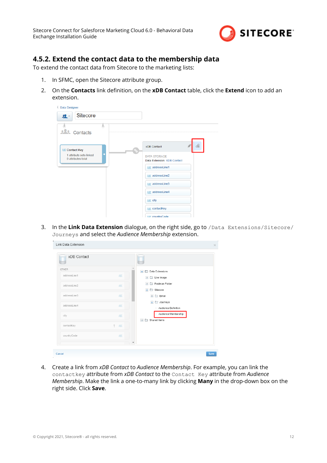

### <span id="page-11-0"></span>**4.5.2. Extend the contact data to the membership data**

To extend the contact data from Sitecore to the marketing lists:

- 1. In SFMC, open the Sitecore attribute group.
- 2. On the **Contacts** link definition, on the **xDB Contact** table, click the **Extend** icon to add an extension.

| <b>Data Designer</b>                          |                                                    |   |
|-----------------------------------------------|----------------------------------------------------|---|
| <b>Sitecore</b><br>$\mathbf{2}$ .             |                                                    |   |
| 西<br><b>ALC</b> Contacts                      |                                                    |   |
| <b>ABC Contact Key</b>                        | xDB Contact                                        | R |
| 1 attribute sets linked<br>0 attributes total | <b>DATA STORAGE</b><br>Data Extension: XDB Contact |   |
|                                               | ABC addressLine1                                   |   |
|                                               | ABC addressLine2                                   |   |
|                                               | ABC addressLine3                                   |   |
|                                               | ABC addressLine4                                   |   |
|                                               | ABC city                                           |   |
|                                               | ABC contactKey                                     |   |
|                                               | APP countryCode                                    |   |

3. In the **Link Data Extension** dialogue, on the right side, go to /Data Extensions/Sitecore/ Journeys and select the *Audience Membership* extension.

| Link Data Extension |                          | $\times$                                                         |
|---------------------|--------------------------|------------------------------------------------------------------|
| xDB Contact         |                          |                                                                  |
| OTHER               |                          | Data Extensions<br>$\bullet$<br>G.                               |
| addressLine1        | ABC                      | Live Image<br>$\,$                                               |
| addressLine2        | <b>ABC</b>               | Postman Folder<br>$\geq$                                         |
|                     |                          | Sitecore<br>$\sim$                                               |
| addressLine3        | ABC                      | Email<br>$\,$                                                    |
| addressLine4        | ABC                      | Journeys<br>$\blacktriangledown$                                 |
|                     |                          | - Audience Definition                                            |
| city                | ABC                      | - Audience Membership<br>$\triangleright$ $\square$ Shared Items |
| contactKey          | Ÿ<br>ABC                 |                                                                  |
| countryCode         | <b>ABC</b>               |                                                                  |
|                     | $\overline{\phantom{a}}$ |                                                                  |
| Cancel              |                          | Save                                                             |

4. Create a link from *xDB Contact* to *Audience Membership*. For example, you can link the contactkey attribute from *xDB Contact* to the Contact Key attribute from *Audience Membership*. Make the link a one-to-many link by clicking **Many** in the drop-down box on the right side. Click **Save**.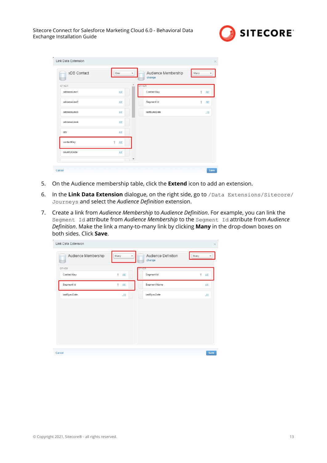

| xDB Contact  | One        | ۰ | Audience Membership<br>change | Many         |     |
|--------------|------------|---|-------------------------------|--------------|-----|
| OTHER        |            |   | <b>OTHER</b>                  |              |     |
| addressLine1 | ABC        |   | Contact Key                   | Ÿ            | ABC |
| addressLine2 | ABC        |   | Segment Id                    | $\mathbf{Q}$ | ABC |
| addressLine3 | <b>ABC</b> |   | lastSyncDate                  |              | .00 |
| addressLine4 | ABC        |   |                               |              |     |
| city         | ABC        |   |                               |              |     |
| contactKey   | ABC        |   |                               |              |     |
| countryCode  | ABC        |   |                               |              |     |

- 5. On the Audience membership table, click the **Extend** icon to add an extension.
- 6. In the **Link Data Extension** dialogue, on the right side, go to /Data Extensions/Sitecore/ Journeys and select the *Audience Definition* extension.
- 7. Create a link from *Audience Membership* to *Audience Definition*. For example, you can link the Segment Id attribute from *Audience Membership* to the Segment Id attribute from *Audience* Definition. Make the link a many-to-many link by clicking Many in the drop-down boxes on both sides. Click **Save**.

| Audience Membership | Many<br>٠            | Audience Definition<br>change | Many            |
|---------------------|----------------------|-------------------------------|-----------------|
| OTHER               |                      | <b>OTHER</b>                  |                 |
| Contact Key         | $\mathcal{P}$<br>ABC | Segment Id                    | Ÿ<br><b>ABC</b> |
| Segment Id          | Ÿ<br>ABC             | Segment Name                  | ABC             |
| lastSyncDate        | .00.                 | lastSyncDate                  | .00             |
|                     |                      |                               |                 |
|                     |                      |                               |                 |
|                     |                      |                               |                 |
|                     |                      |                               |                 |
|                     |                      |                               |                 |
|                     |                      |                               |                 |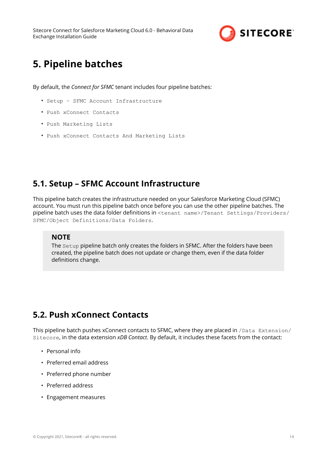

# <span id="page-13-0"></span>**5. Pipeline batches**

By default, the *Connect for SFMC* tenant includes four pipeline batches:

- Setup SFMC Account Infrastructure
- Push xConnect Contacts
- Push Marketing Lists
- Push xConnect Contacts And Marketing Lists

## **5.1. Setup – SFMC Account Infrastructure**

This pipeline batch creates the infrastructure needed on your Salesforce Marketing Cloud (SFMC) account. You must run this pipeline batch once before you can use the other pipeline batches. The pipeline batch uses the data folder definitions in <tenant name>/Tenant Settings/Providers/ SFMC/Object Definitions/Data Folders.

### **NOTE**

The Setup pipeline batch only creates the folders in SFMC. After the folders have been created, the pipeline batch does not update or change them, even if the data folder definitions change.

## **5.2. Push xConnect Contacts**

This pipeline batch pushes xConnect contacts to SFMC, where they are placed in /Data Extension/ Sitecore, in the data extension *xDB Contact*. By default, it includes these facets from the contact:

- Personal info
- Preferred email address
- Preferred phone number
- Preferred address
- Engagement measures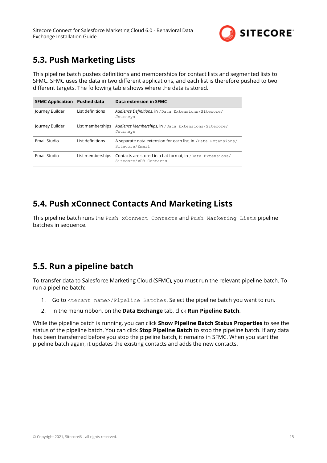

## <span id="page-14-0"></span>**5.3. Push Marketing Lists**

This pipeline batch pushes definitions and memberships for contact lists and segmented lists to SFMC. SFMC uses the data in two different applications, and each list is therefore pushed to two different targets. The following table shows where the data is stored.

| <b>SFMC Application</b> Pushed data |                  | Data extension in SFMC                                                                               |
|-------------------------------------|------------------|------------------------------------------------------------------------------------------------------|
| Journey Builder                     | List definitions | Audience Definitions, in / Data Extensions/Sitecore/<br>Journeys                                     |
| Journey Builder                     |                  | List memberships Audience Memberships, in / Data Extensions/Sitecore/<br>Journeys                    |
| Email Studio                        | List definitions | A separate data extension for each list, in /Data Extensions/<br>Sitecore/Email                      |
| Email Studio                        |                  | List memberships Contacts are stored in a flat format, in /Data Extensions/<br>Sitecore/xDB Contacts |

## **5.4. Push xConnect Contacts And Marketing Lists**

This pipeline batch runs the Push xConnect Contacts and Push Marketing Lists pipeline batches in sequence.

## **5.5. Run a pipeline batch**

To transfer data to Salesforce Marketing Cloud (SFMC), you must run the relevant pipeline batch. To run a pipeline batch:

- 1. Go to <tenant name>/Pipeline Batches. Select the pipeline batch you want to run.
- 2. In the menu ribbon, on the **Data Exchange** tab, click **Run Pipeline Batch**.

While the pipeline batch is running, you can click **Show Pipeline Batch Status Properties** to see the status of the pipeline batch. You can click **Stop Pipeline Batch** to stop the pipeline batch. If any data has been transferred before you stop the pipeline batch, it remains in SFMC. When you start the pipeline batch again, it updates the existing contacts and adds the new contacts.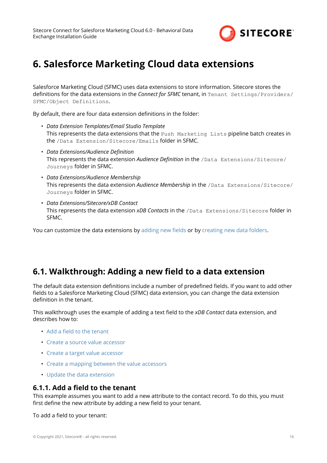

# <span id="page-15-0"></span>**6. Salesforce Marketing Cloud data extensions**

Salesforce Marketing Cloud (SFMC) uses data extensions to store information. Sitecore stores the definitions for the data extensions in the *Connect for SFMC* tenant, in Tenant Settings/Providers/ SFMC/Object Definitions.

By default, there are four data extension definitions in the folder:

- *Data Extension Templates/Email Studio Template* This represents the data extensions that the Push Marketing Lists pipeline batch creates in the /Data Extension/Sitecore/Emails folder in SFMC.
- Data Extensions/Audience Definition This represents the data extension *Audience Definition* in the /Data Extensions/Sitecore/ Journeys folder in SFMC.
- *Data Extensions/Audience Membership* This represents the data extension *Audience Membership* in the /Data Extensions/Sitecore/ Journeys folder in SFMC.
- *Data Extensions/Sitecore/xDB Contact* This represents the data extension *xDB Contacts* in the /Data Extensions/Sitecore folder in SFMC.

You can customize the data extensions by adding new fields or by [creating new data folders](#page-19-0).

### **6.1. Walkthrough: Adding a new field to a data extension**

The default data extension definitions include a number of predefined fields. If you want to add other fields to a Salesforce Marketing Cloud (SFMC) data extension, you can change the data extension definition in the tenant.

This walkthrough uses the example of adding a text field to the *xDB Contact* data extension, and describes how to:

- Add a field to the tenant
- [Create a source value accessor](#page-16-0)
- [Create a target value accessor](#page-17-0)
- [Create a mapping between the value accessors](#page-18-0)
- [Update the data extension](#page-18-0)

### **6.1.1. Add a field to the tenant**

This example assumes you want to add a new attribute to the contact record. To do this, you must first define the new attribute by adding a new field to your tenant.

To add a field to your tenant: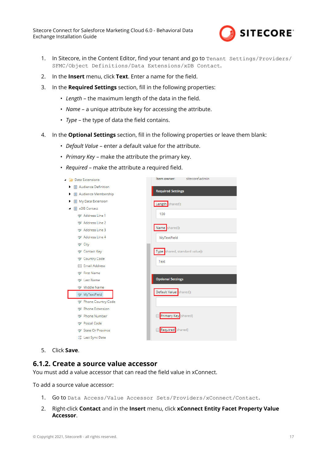

- <span id="page-16-0"></span>1. In Sitecore, in the Content Editor, find your tenant and go to Tenant Settings/Providers/ SFMC/Object Definitions/Data Extensions/xDB Contact.
- 2. In the **Insert** menu, click **Text**. Enter a name for the field.
- 3. In the **Required Settings** section, fill in the following properties:
	- Length the maximum length of the data in the field.
	- *Name* a unique attribute key for accessing the attribute.
	- $\cdot$  *Type* the type of data the field contains.
- 4. In the **Optional Settings** section, fill in the following properties or leave them blank:
	- *Default Value* enter a default value for the attribute.
	- *Primary Key* make the attribute the primary key.
	- *Required* make the attribute a required field.

| 图 Audience Definition<br>▶<br><b>Required Settings</b><br>图 Audience Membership<br>٠<br>My Data Extension<br>眉<br>Length shared]:<br>图 xDB Contact<br>100<br>Address Line 1<br><b>BF</b> Address Line 2<br>Name shared]:<br><b>19F</b> Address Line 3<br>Address Line 4<br>MyTextField<br>age City<br>Type shared, standard value]:<br><b>RBF</b> Contact Key<br><b>RBF</b> Country Code<br>Text<br><b>⊠ Email Address</b><br>ABF First Name<br><b>Optional Settings</b><br>ABF Last Name<br><b>89F</b> Middle Name<br>Default Value shared]:<br>age MyTextField |
|------------------------------------------------------------------------------------------------------------------------------------------------------------------------------------------------------------------------------------------------------------------------------------------------------------------------------------------------------------------------------------------------------------------------------------------------------------------------------------------------------------------------------------------------------------------|
|                                                                                                                                                                                                                                                                                                                                                                                                                                                                                                                                                                  |
|                                                                                                                                                                                                                                                                                                                                                                                                                                                                                                                                                                  |
|                                                                                                                                                                                                                                                                                                                                                                                                                                                                                                                                                                  |
|                                                                                                                                                                                                                                                                                                                                                                                                                                                                                                                                                                  |
|                                                                                                                                                                                                                                                                                                                                                                                                                                                                                                                                                                  |
|                                                                                                                                                                                                                                                                                                                                                                                                                                                                                                                                                                  |
|                                                                                                                                                                                                                                                                                                                                                                                                                                                                                                                                                                  |
|                                                                                                                                                                                                                                                                                                                                                                                                                                                                                                                                                                  |
|                                                                                                                                                                                                                                                                                                                                                                                                                                                                                                                                                                  |
|                                                                                                                                                                                                                                                                                                                                                                                                                                                                                                                                                                  |
|                                                                                                                                                                                                                                                                                                                                                                                                                                                                                                                                                                  |
|                                                                                                                                                                                                                                                                                                                                                                                                                                                                                                                                                                  |
|                                                                                                                                                                                                                                                                                                                                                                                                                                                                                                                                                                  |
|                                                                                                                                                                                                                                                                                                                                                                                                                                                                                                                                                                  |
|                                                                                                                                                                                                                                                                                                                                                                                                                                                                                                                                                                  |
|                                                                                                                                                                                                                                                                                                                                                                                                                                                                                                                                                                  |
| ABF Phone Country Code                                                                                                                                                                                                                                                                                                                                                                                                                                                                                                                                           |
| <b>RBF</b> Phone Extension                                                                                                                                                                                                                                                                                                                                                                                                                                                                                                                                       |
| Primary Key [shared]<br>ABF Phone Number                                                                                                                                                                                                                                                                                                                                                                                                                                                                                                                         |
| ABC Postal Code                                                                                                                                                                                                                                                                                                                                                                                                                                                                                                                                                  |
| Required [shared]<br><b>RBF</b> State Or Province                                                                                                                                                                                                                                                                                                                                                                                                                                                                                                                |
| 福 Last Sync Date                                                                                                                                                                                                                                                                                                                                                                                                                                                                                                                                                 |

5. Click **Save**.

### **6.1.2. Create a source value accessor**

You must add a value accessor that can read the field value in xConnect.

To add a source value accessor:

- 1. Go to Data Access/Value Accessor Sets/Providers/xConnect/Contact.
- 2. Right-click **Contact** and in the **Insert** menu, click **xConnect Entity Facet Property Value Accessor**.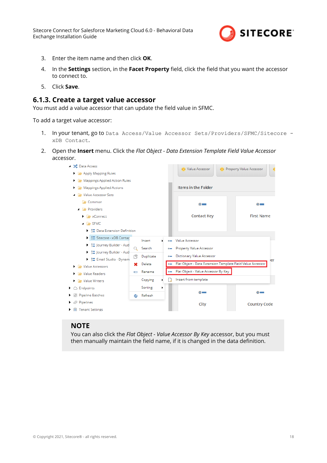

- <span id="page-17-0"></span>3. Enter the item name and then click **OK**.
- 4. In the **Settings** section, in the **Facet Property** field, click the field that you want the accessor to connect to.
- 5. Click **Save**.

### **6.1.3. Create a target value accessor**

You must add a value accessor that can update the field value in SFMC.

To add a target value accessor:

- 1. In your tenant, go to Data Access/Value Accessor Sets/Providers/SFMC/Sitecore xDB Contact.
- 2. Open the **Insert** menu. Click the *Flat Object Data Extension Template Field Value Accessor* accessor.



#### **NOTE**

You can also click the *Flat Object - Value Accessor By Key* accessor, but you must then manually maintain the field name, if it is changed in the data definition.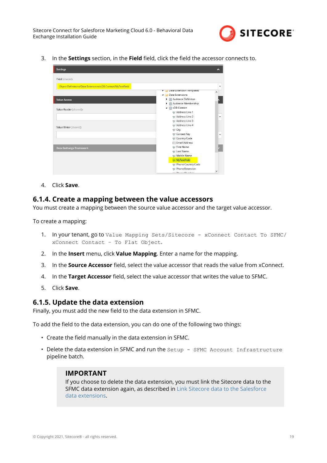

<span id="page-18-0"></span>3. In the **Settings** section, in the **Field** field, click the field the accessor connects to.

| <b>Settings</b>                                            |                                                      | ㅅ |
|------------------------------------------------------------|------------------------------------------------------|---|
| Field [shared]:                                            |                                                      |   |
| Object Definitions/Data Extensions/xDB Contact/MyTextField |                                                      | ٠ |
|                                                            | Data Extension Templates<br><b>4 Data Extensions</b> | ∧ |
|                                                            |                                                      |   |
| <b>Value Access</b>                                        | ▶ 图 Audience Definition                              |   |
|                                                            | Audience Membership<br>▶                             |   |
| Value Reader [shared]:                                     | ▲ ■ xDB Contact                                      |   |
|                                                            | Address Line 1                                       |   |
|                                                            | Address Line 2                                       | ٠ |
|                                                            | Angr Address Line 3                                  |   |
| Value Writer [shared]:                                     | Address Line 4                                       |   |
|                                                            | ABF City                                             |   |
|                                                            | ABF Contact Key                                      | ٠ |
|                                                            | ABF Country Code                                     |   |
|                                                            | ⊠ Email Address                                      |   |
| Data Exchange Framework                                    | ABF First Name                                       |   |
|                                                            | ABF Last Name                                        |   |
|                                                            | ABF Middle Name                                      |   |
|                                                            | <b>ABF MyTextField</b>                               |   |
|                                                            | ABC Phone Country Code                               |   |
|                                                            | ABF Phone Extension                                  |   |
|                                                            | one Displace Meanwhile                               | v |

4. Click **Save**.

#### **6.1.4. Create a mapping between the value accessors**

You must create a mapping between the source value accessor and the target value accessor.

To create a mapping:

- 1. In your tenant, go to Value Mapping Sets/Sitecore xConnect Contact To SFMC/ xConnect Contact – To Flat Object.
- 2. In the **Insert** menu, click **Value Mapping**. Enter a name for the mapping.
- 3. In the **Source Accessor** field, select the value accessor that reads the value from xConnect.
- 4. In the Target Accessor field, select the value accessor that writes the value to SFMC.
- 5. Click **Save**.

#### **6.1.5. Update the data extension**

Finally, you must add the new field to the data extension in SFMC.

To add the field to the data extension, you can do one of the following two things:

- Create the field manually in the data extension in SFMC.
- Delete the data extension in SFMC and run the Setup SFMC Account Infrastructure pipeline batch.

#### **IMPORTANT**

If you choose to delete the data extension, you must link the Sitecore data to the SFMC data extension again, as described in [Link Sitecore data to the Salesforce](#page-8-0) [data extensions.](#page-8-0)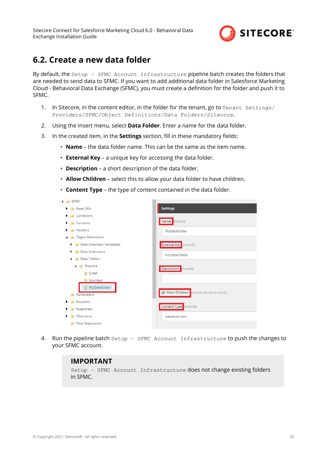

### <span id="page-19-0"></span>**6.2. Create a new data folder**

By default, the Setup – SFMC Account Infrastructure pipeline batch creates the folders that are needed to send data to SFMC. If you want to add additional data folder in Salesforce Marketing Cloud - Behavioral Data Exchange (SFMC), you must create a definition for the folder and push it to SFMC.

- 1. In Sitecore, in the content editor, in the folder for the tenant, go to Tenant Settings/ Providers/SFMC/Object Definitions/Data Folders/Sitecore.
- 2. Using the Insert menu, select **Data Folder**. Enter a name for the data folder.
- 3. In the created item, in the **Settings** section, fill in these mandatory fields:
	- **Name** the data folder name. This can be the same as the item name.
	- **External Key** a unique key for accessing the data folder.
	- **Description** a short description of the data folder.
	- **Allow Children** select this to allow your data folder to have children.
	- **Content Type** the type of content contained in the data folder.

| $\blacksquare$ SFMC                                   |                                        |
|-------------------------------------------------------|----------------------------------------|
| <b>Base URIs</b>                                      | <b>Settings</b>                        |
| <b>D</b> Conditions<br>▶                              |                                        |
| <b>Contents</b><br>▶                                  | Name shared]:                          |
| Headers<br>▶                                          | MyDataFolder                           |
| Object Definitions<br>◢                               |                                        |
| <b>Data Extension Templates</b>                       | External Key [shared]:                 |
| <b>Data Extensions</b><br>▶                           | my-data-folder                         |
| Data Folders<br>◢                                     |                                        |
| Sitecore                                              | Description shared]:                   |
| <b>Email</b>                                          |                                        |
| Journeys<br>MyDataFolder                              |                                        |
| Parameters                                            | Allow Children shared, standard value] |
| Requests<br>Þ.                                        |                                        |
| Responses<br>Þ.                                       | Content Type <sup>s</sup> shared]:     |
| $\blacktriangleright$ $\blacktriangleright$ XElements | dataextension                          |
| Filter Expression                                     |                                        |

4. Run the pipeline batch Setup – SFMC Account Infrastructure to push the changes to your SFMC account.

### **IMPORTANT**

Setup – SFMC Account Infrastructure does not change existing folders in SFMC.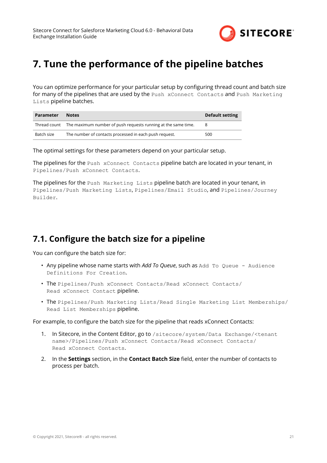

# <span id="page-20-0"></span>**7. Tune the performance of the pipeline batches**

You can optimize performance for your particular setup by configuring thread count and batch size for many of the pipelines that are used by the Push xConnect Contacts and Push Marketing Lists pipeline batches.

| Parameter  | <b>Notes</b>                                                               | <b>Default setting</b> |
|------------|----------------------------------------------------------------------------|------------------------|
|            | Thread count The maximum number of push requests running at the same time. |                        |
| Batch size | The number of contacts processed in each push request.                     | 500                    |

The optimal settings for these parameters depend on your particular setup.

The pipelines for the Push xConnect Contacts pipeline batch are located in your tenant, in Pipelines/Push xConnect Contacts.

The pipelines for the Push Marketing Lists pipeline batch are located in your tenant, in Pipelines/Push Marketing Lists, Pipelines/Email Studio, and Pipelines/Journey Builder.

## **7.1. Configure the batch size for a pipeline**

You can configure the batch size for:

- Any pipeline whose name starts with *Add To Queue*, such as Add To Queue Audience Definitions For Creation.
- The Pipelines/Push xConnect Contacts/Read xConnect Contacts/ Read xConnect Contact pipeline.
- The Pipelines/Push Marketing Lists/Read Single Marketing List Memberships/ Read List Memberships pipeline.

For example, to configure the batch size for the pipeline that reads xConnect Contacts:

- 1. In Sitecore, in the Content Editor, go to /sitecore/system/Data Exchange/<tenant name>/Pipelines/Push xConnect Contacts/Read xConnect Contacts/ Read xConnect Contacts.
- 2. In the **Settings** section, in the **Contact Batch Size** field, enter the number of contacts to process per batch.